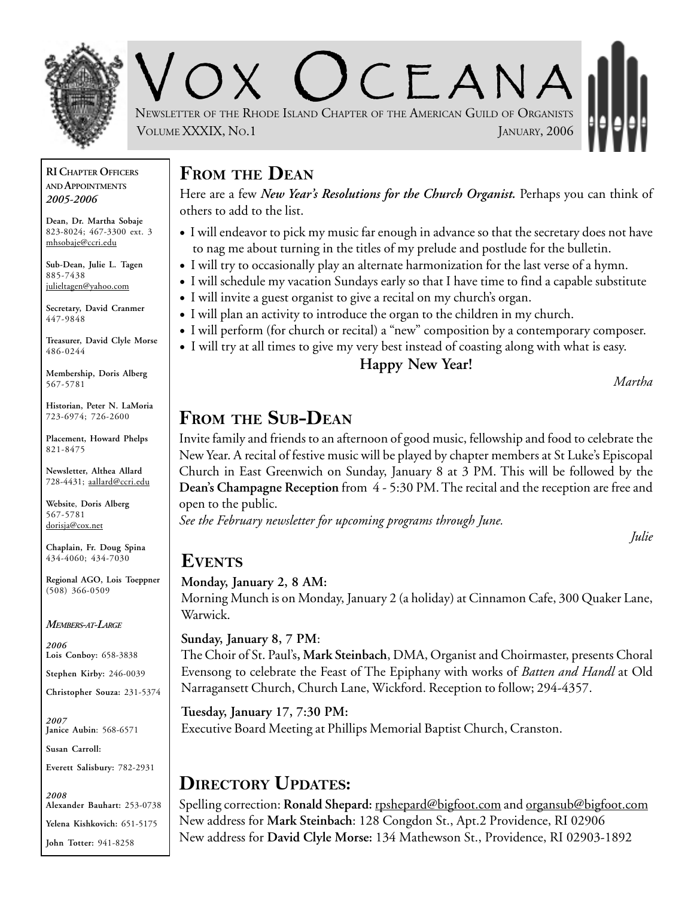

V O X O CEANA NEWSLETTER OF THE RHODE ISLAND CHAPTER OF THE AMERICAN GUILD OF ORGANISTS VOLUME XXXIX, NO.1 JANUARY, 2006

#### **RI CHAPTER OFFICERS AND APPOINTMENTS** *2005-2006*

**Dean, Dr. Martha Sobaje** 823-8024; 467-3300 ext. 3 mhsobaje@ccri.edu

**Sub-Dean, Julie L. Tagen** 885-7438 julieltagen@yahoo.com

**Secretary, David Cranmer** 447-9848

**Treasurer, David Clyle Morse** 486-0244

**Membership, Doris Alberg** 567-5781

**Historian, Peter N. LaMoria** 723-6974; 726-2600

**Placement, Howard Phelps** 821-8475

**Newsletter, Althea Allard** 728-4431; aallard@ccri.edu

**Website**, **Doris Alberg** 567-5781 dorisja@cox.net

**Chaplain, Fr. Doug Spina** 434-4060; 434-7030

**Regional AGO, Lois Toeppner** (508) 366-0509

*MEMBERS-AT-LARGE*

*2006* **Lois Conboy:** 658-3838

**Stephen Kirby:** 246-0039

**Christopher Souza:** 231-5374

*2007* **Janice Aubin**: 568-6571

**Susan Carroll:**

**Everett Salisbury:** 782-2931

*2008* **Alexander Bauhart:** 253-0738 **Yelena Kishkovich:** 651-5175 **John Totter:** 941-8258

### **FROM THE DEAN**

Here are a few *New Year's Resolutions for the Church Organist.* Perhaps you can think of others to add to the list.

- I will endeavor to pick my music far enough in advance so that the secretary does not have to nag me about turning in the titles of my prelude and postlude for the bulletin.
- I will try to occasionally play an alternate harmonization for the last verse of a hymn.
- I will schedule my vacation Sundays early so that I have time to find a capable substitute
- I will invite a guest organist to give a recital on my church's organ.
- I will plan an activity to introduce the organ to the children in my church.
- I will perform (for church or recital) a "new" composition by a contemporary composer.
	- I will try at all times to give my very best instead of coasting along with what is easy.

#### **Happy New Year!**

*Martha*

### **FROM THE SUB-DEAN**

Invite family and friends to an afternoon of good music, fellowship and food to celebrate the New Year. A recital of festive music will be played by chapter members at St Luke's Episcopal Church in East Greenwich on Sunday, January 8 at 3 PM. This will be followed by the **Dean's Champagne Reception** from 4 - 5:30 PM. The recital and the reception are free and open to the public.

*See the February newsletter for upcoming programs through June.*

*Julie*

#### **EVENTS**

#### **Monday, January 2, 8 AM:**

Morning Munch is on Monday, January 2 (a holiday) at Cinnamon Cafe, 300 Quaker Lane, Warwick.

#### **Sunday, January 8, 7 PM**:

The Choir of St. Paul's**, Mark Steinbach**, DMA, Organist and Choirmaster, presents Choral Evensong to celebrate the Feast of The Epiphany with works of *Batten and Handl* at Old Narragansett Church, Church Lane, Wickford. Reception to follow; 294-4357.

#### **Tuesday, January 17, 7:30 PM:**

Executive Board Meeting at Phillips Memorial Baptist Church, Cranston.

### **DIRECTORY UPDATES:**

Spelling correction: Ronald Shepard: rpshepard@bigfoot.com and organsub@bigfoot.com New address for **Mark Steinbach**: 128 Congdon St., Apt.2 Providence, RI 02906 New address for **David Clyle Morse:** 134 Mathewson St., Providence, RI 02903-1892